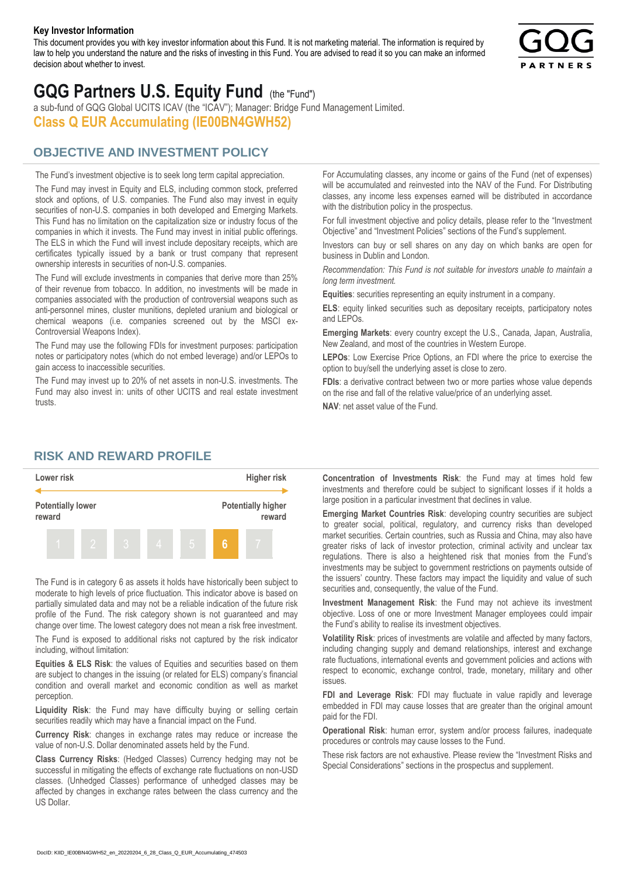#### **Key Investor Information**

This document provides you with key investor information about this Fund. It is not marketing material. The information is required by law to help you understand the nature and the risks of investing in this Fund. You are advised to read it so you can make an informed decision about whether to invest.



# **GQG Partners U.S. Equity Fund** (the "Fund")

a sub-fund of GQG Global UCITS ICAV (the "ICAV"); Manager: Bridge Fund Management Limited. **Class Q EUR Accumulating (IE00BN4GWH52)**

# **OBJECTIVE AND INVESTMENT POLICY**

The Fund's investment objective is to seek long term capital appreciation. The Fund may invest in Equity and ELS, including common stock, preferred stock and options, of U.S. companies. The Fund also may invest in equity securities of non-U.S. companies in both developed and Emerging Markets. This Fund has no limitation on the capitalization size or industry focus of the companies in which it invests. The Fund may invest in initial public offerings. The ELS in which the Fund will invest include depositary receipts, which are certificates typically issued by a bank or trust company that represent ownership interests in securities of non-U.S. companies.

The Fund will exclude investments in companies that derive more than 25% of their revenue from tobacco. In addition, no investments will be made in companies associated with the production of controversial weapons such as anti-personnel mines, cluster munitions, depleted uranium and biological or chemical weapons (i.e. companies screened out by the MSCI ex-Controversial Weapons Index).

The Fund may use the following FDIs for investment purposes: participation notes or participatory notes (which do not embed leverage) and/or LEPOs to gain access to inaccessible securities.

The Fund may invest up to 20% of net assets in non-U.S. investments. The Fund may also invest in: units of other UCITS and real estate investment trusts.

For Accumulating classes, any income or gains of the Fund (net of expenses) will be accumulated and reinvested into the NAV of the Fund. For Distributing classes, any income less expenses earned will be distributed in accordance with the distribution policy in the prospectus.

For full investment objective and policy details, please refer to the "Investment Objective" and "Investment Policies" sections of the Fund's supplement.

Investors can buy or sell shares on any day on which banks are open for business in Dublin and London.

*Recommendation: This Fund is not suitable for investors unable to maintain a long term investment.*

**Equities**: securities representing an equity instrument in a company.

**ELS**: equity linked securities such as depositary receipts, participatory notes and LEPOs.

**Emerging Markets**: every country except the U.S., Canada, Japan, Australia, New Zealand, and most of the countries in Western Europe.

**LEPOs**: Low Exercise Price Options, an FDI where the price to exercise the option to buy/sell the underlying asset is close to zero.

**FDIs**: a derivative contract between two or more parties whose value depends on the rise and fall of the relative value/price of an underlying asset.

**NAV**: net asset value of the Fund.

### **RISK AND REWARD PROFILE**



The Fund is in category 6 as assets it holds have historically been subject to moderate to high levels of price fluctuation. This indicator above is based on partially simulated data and may not be a reliable indication of the future risk profile of the Fund. The risk category shown is not guaranteed and may change over time. The lowest category does not mean a risk free investment.

The Fund is exposed to additional risks not captured by the risk indicator including, without limitation:

**Equities & ELS Risk**: the values of Equities and securities based on them are subject to changes in the issuing (or related for ELS) company's financial condition and overall market and economic condition as well as market perception.

**Liquidity Risk**: the Fund may have difficulty buying or selling certain securities readily which may have a financial impact on the Fund.

**Currency Risk**: changes in exchange rates may reduce or increase the value of non-U.S. Dollar denominated assets held by the Fund.

**Class Currency Risks**: (Hedged Classes) Currency hedging may not be successful in mitigating the effects of exchange rate fluctuations on non-USD classes. (Unhedged Classes) performance of unhedged classes may be affected by changes in exchange rates between the class currency and the US Dollar.

**Concentration of Investments Risk**: the Fund may at times hold few investments and therefore could be subject to significant losses if it holds a large position in a particular investment that declines in value.

**Emerging Market Countries Risk**: developing country securities are subject to greater social, political, regulatory, and currency risks than developed market securities. Certain countries, such as Russia and China, may also have greater risks of lack of investor protection, criminal activity and unclear tax regulations. There is also a heightened risk that monies from the Fund's investments may be subject to government restrictions on payments outside of the issuers' country. These factors may impact the liquidity and value of such securities and, consequently, the value of the Fund.

**Investment Management Risk**: the Fund may not achieve its investment objective. Loss of one or more Investment Manager employees could impair the Fund's ability to realise its investment objectives.

**Volatility Risk**: prices of investments are volatile and affected by many factors, including changing supply and demand relationships, interest and exchange rate fluctuations, international events and government policies and actions with respect to economic, exchange control, trade, monetary, military and other issues.

**FDI and Leverage Risk**: FDI may fluctuate in value rapidly and leverage embedded in FDI may cause losses that are greater than the original amount paid for the FDI.

**Operational Risk**: human error, system and/or process failures, inadequate procedures or controls may cause losses to the Fund.

These risk factors are not exhaustive. Please review the "Investment Risks and Special Considerations" sections in the prospectus and supplement.